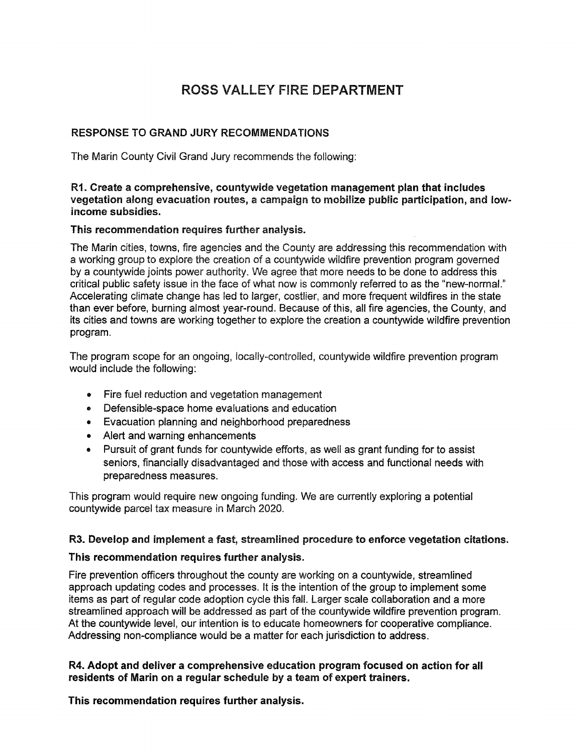# **ROSS VALLEY FIRE DEPARTMENT**

# **RESPONSE TO GRAND JURY RECOMMENDATIONS**

The Marin County Civil Grand Jury recommends the following:

# **RI. Create a comprehensive, countywide vegetation management plan that includes vegetation along evacuation routes, a campaign to mobilize public participation, and lowincome subsidies.**

# **This recommendation requires further analysis.**

The Marin cities, towns, fire agencies and the County are addressing this recommendation with a working group to explore the creation of a countywide wildfire prevention program governed by a countywide joints power authority. We agree that more needs to be done to address this critical public safety issue in the face of what now is commonly referred to as the "new-normal." Accelerating climate change has led to larger, costlier, and more frequent wildfires in the state than ever before, burning almost year-round. Because of this, all fire agencies, the County, and its cities and towns are working together to explore the creation a countywide wildfire prevention program.

The program scope for an ongoing, locally-controlled, countywide wildfire prevention program would include the following:

- Fire fuel reduction and vegetation management
- Defensible-space home evaluations and education
- Evacuation planning and neighborhood preparedness
- Alert and warning enhancements
- Pursuit of grant funds for countywide efforts, as well as grant funding for to assist seniors, financially disadvantaged and those with access and functional needs with preparedness measures.

This program would require new ongoing funding. We are currently exploring a potential countywide parcel tax measure in March 2020.

# **R3. Develop and implement a fast, streamlined procedure to enforce vegetation citations.**

# **This recommendation requires further analysis.**

Fire prevention officers throughout the county are working on a countywide, streamlined approach updating codes and processes. It is the intention of the group to implement some items as part of regular code adoption cycle this fall. Larger scale collaboration and a more streamlined approach will be addressed as part of the countywide wildfire prevention program. At the countywide level, our intention is to educate homeowners for cooperative compliance. Addressing non-compliance would be a matter for each jurisdiction to address.

# **R4. Adopt and deliver a comprehensive education program focused on action for all**  residents of Marin on a regular schedule by a team of expert trainers.

**This recommendation requires further analysis.**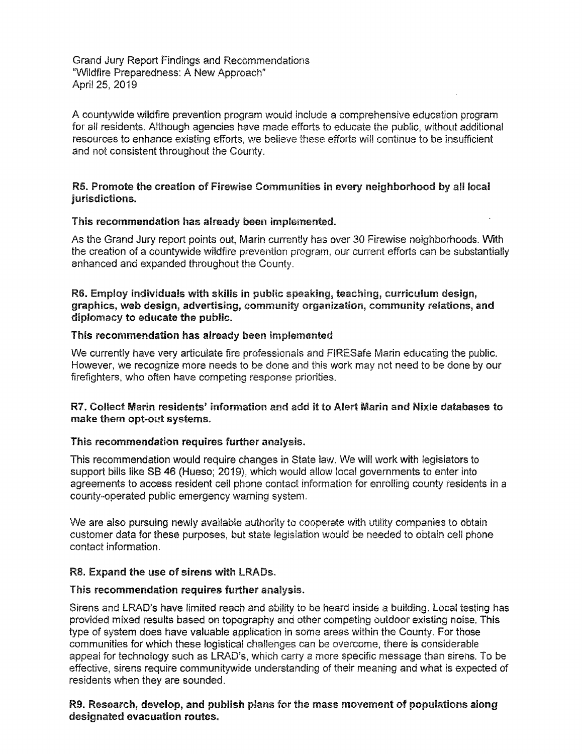A countywide wildfire prevention program would include a comprehensive education program for all residents. Although agencies have made efforts to educate the public, without additional resources to enhance existing efforts, we believe these efforts will continue to be insufficient and not consistent throughout the County.

#### R5. Promote the creation of Firewise Communities in every neighborhood by all local jurisdictions.

#### This recommendation has already been implemented.

As the Grand Jury report points out, Marin currently has over 30 Firewise neighborhoods. With the creation of a countywide wildfire prevention program, our current efforts can be substantially enhanced and expanded throughout the County.

R6. Employ individuals with skills in public speaking, teaching, curriculum design, graphics, web design, advertising, community organization, community relations, and diplomacy to educate the public.

#### This recommendation has already been implemented

We currently have very articulate fire professionals and FIRESafe Marin educating the public. However, we recognize more needs to be done and this work may not need to be done by our firefighters, who often have competing response priorities.

# R7. Collect Marin residents' information and add it to Alert Marin and Nixle databases to make them opt-out systems.

#### This recommendation requires further analysis.

This recommendation would require changes in State law. We will work with legislators to support bills like SB 46 (Hueso; 2019), which would allow local governments to enter into agreements to access resident cell phone contact information for enrolling county residents in a county-operated public emergency warning system.

We are also pursuing newly available authority to cooperate with utility companies to obtain customer data for these purposes, but state legislation would be needed to obtain cell phone contact information.

# R8. Expand the use of sirens with LRADs.

#### This recommendation requires further analysis.

Sirens and LRAD's have limited reach and ability to be heard inside a building. Local testing has provided mixed results based on topography and other competing outdoor existing noise. This type of system does have valuable application in some areas within the County. For those communities for which these logistical challenges can be overcome, there is considerable appeal for technology such as LRAD's, which carry a more specific message than sirens. To be effective, sirens require communitywide understanding of their meaning and what is expected of residents when they are sounded.

# R9. Research, develop, and publish plans for the mass movement of populations along designated evacuation routes.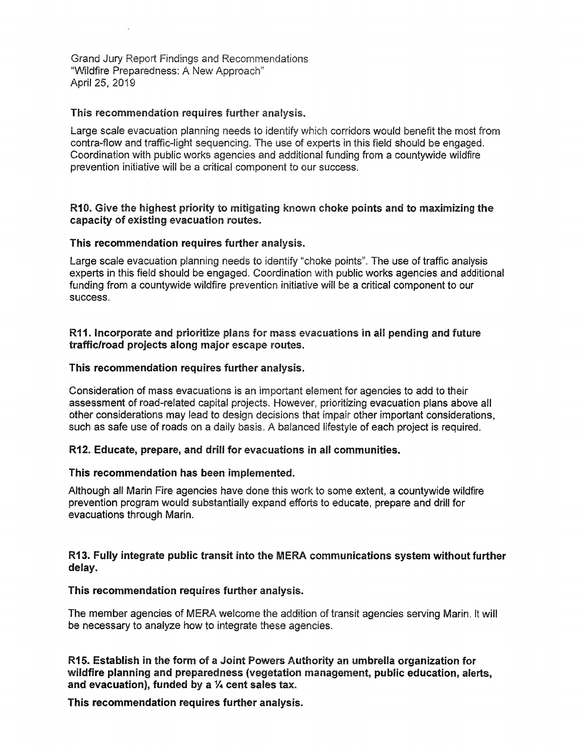#### **This recommendation requires further analysis.**

**Large** scale evacuation planning needs to identify which corridors would benefit the most from contra-flow and traffic-light sequencing. The use of experts in this field should be engaged. Coordination with public works agencies and additional funding from a countywide wildfire prevention initiative will be a critical component to our success.

# **RIO. Give the highest priority to mitigating known choke points and to maximizing the capacity of existing evacuation routes.**

# **This recommendation requires further analysis.**

**Large** scale evacuation planning needs to identify "choke points". The use of traffic analysis experts in this field should be engaged. Coordination with public works agencies **and** additional funding from a countywide wildfire prevention initiative will be a critical component to our success.

# **R11. Incorporate and prioritize plans for mass evacuations in all pending and future traffic/road projects along major escape routes.**

# **This recommendation requires further analysis.**

Consideration of mass evacuations is an important element for agencies to add to their assessment of road-related capital projects. However, prioritizing evacuation plans above all other considerations **may lead to** design decisions that impair other important considerations, such as safe use of roads on a daily basis. A balanced lifestyle of each project is required.

#### **R12. Educate, prepare, and drill for evacuations in all communities.**

#### **This recommendation has been implemented.**

Although all Marin Fire agencies have done this work to some extent, a countywide wildfire prevention program would substantially expand efforts to **educate,** prepare and drill for evacuations through Marin.

# **R13. Fully integrate public transit into the MERA communications system without further delay.**

#### **This recommendation requires further analysis.**

The member agencies **of MERA** welcome the addition of transit agencies serving Mann. It will be necessary to analyze how to integrate these agencies.

**R15. Establish in the form of a Joint Powers Authority an umbrella organization for wildfire planning and preparedness (vegetation management, public education, alerts, and evacuation), funded by a 1/4cent sales tax.** 

**This recommendation requires further analysis.**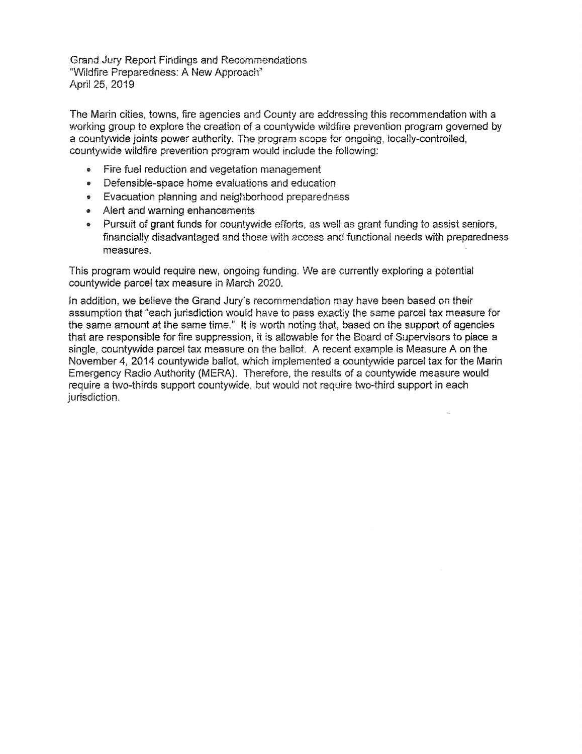The Marin cities, towns, fire agencies and County are addressing this recommendation with a working group to explore the creation of a countywide wildfire prevention program governed by a countywide joints power authority. The program scope for ongoing, locally-controlled, countywide wildfire prevention program would include the following:

- Fire fuel reduction and vegetation management
- Defensible-space home evaluations and education
- Evacuation planning and neighborhood preparedness
- Alert and warning enhancements
- Pursuit of grant funds for countywide efforts, as well as grant funding to assist seniors, financially disadvantaged and those with access and functional needs with preparedness measures.

This program would require new, ongoing funding. We are currently exploring a potential countywide parcel tax measure in March 2020.

In addition, we believe the Grand Jury's recommendation may have been based on their assumption that "each jurisdiction would have to pass exactly the same parcel tax measure for the same amount at the same time." It is worth noting that, based on the support of agencies that are responsible for fire suppression, it is allowable for the Board of Supervisors to place a single, countywide parcel tax measure on the ballot. A recent example is Measure A on the November 4, 2014 countywide ballot, which implemented a countywide parcel tax for the Marin Emergency Radio Authority (MERA). Therefore, the results of a countywide measure would require a two-thirds support countywide, but would not require two-third support in each jurisdiction.